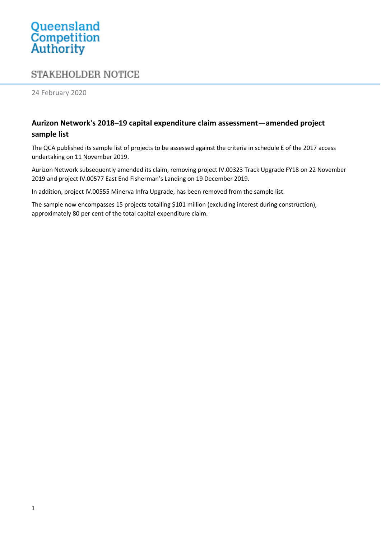## Queensland<br>Competition<br>Authority

## **STAKEHOLDER NOTICE**

24 February 2020

## **Aurizon Network's 2018–19 capital expenditure claim assessment—amended project sample list**

The QCA published its sample list of projects to be assessed against the criteria in schedule E of the 2017 access undertaking on 11 November 2019.

Aurizon Network subsequently amended its claim, removing project IV.00323 Track Upgrade FY18 on 22 November 2019 and project IV.00577 East End Fisherman's Landing on 19 December 2019.

In addition, project IV.00555 Minerva Infra Upgrade, has been removed from the sample list.

The sample now encompasses 15 projects totalling \$101 million (excluding interest during construction), approximately 80 per cent of the total capital expenditure claim.